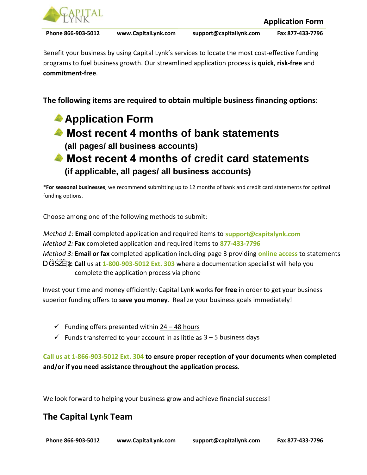

Benefit your business by using Capital Lynk's services to locate the most cost-effective funding programs to fuel business growth. Our streamlined application process is **quick**, **risk-free** and **commitment-free**.

**The following items are required to obtain multiple business financing options**:

# **Application Form Most recent 4 months of bank statements (all pages/ all business accounts) ▲ Most recent 4 months of credit card statements (if applicable, all pages/ all business accounts)**

\***For seasonal businesses**, we recommend submitting up to 12 months of bank and credit card statements for optimal funding options.

Choose among one of the following methods to submit :

*Method 1:* **Email** completed applicat[ion and required items](mailto:support@capitalynk.com) to **support@capitalynk.com**  *Method 2:* **Fax** completed application and required items to **877-433-7796**

*Method 3:* **Email or fax** completed application including page 3 providing **online access** to statements

*D* Call us at 1-800-903-5012 Ext. 303 where a documentation specialist will help you complete the application process via phone

Invest your time and money efficiently: Capital Lynk works **for free** in order to get your business superior funding offers to **save you money**.Realize your business goals immediately!

- $\checkmark$  Funding offers presented within 24 48 hours
- $\checkmark$  Funds transferred to your account in as little as  $3 5$  business days

**Call us at 1-866-903-5012 Ext. 304 to ensure proper reception of your documents when completed and/or if you need assistance throughout the application process**.

We look forward to helping your business grow and achieve financial success!

## **The Capital Lynk Team**

 **Phone 866-903-5012 www.CapitalLynk.com support@capitallynk.com Fax 877-433-7796**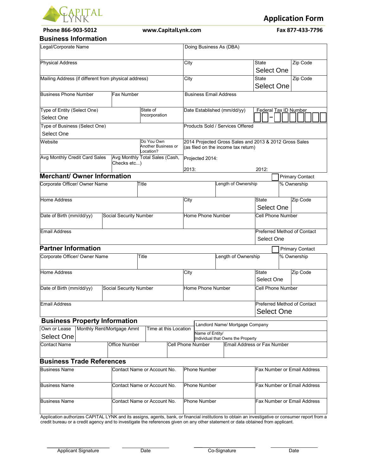

**Phone 866-903-5012 www.CapitalLynk.com Fax 877-433-7796** 

**Application Form**

#### **Business Information**

| ווטוווטווו ככסוווכוט                                 |  |                            |                                                |                               |                         |                             |                                                                                               |                                   |                             |  |                             |  |
|------------------------------------------------------|--|----------------------------|------------------------------------------------|-------------------------------|-------------------------|-----------------------------|-----------------------------------------------------------------------------------------------|-----------------------------------|-----------------------------|--|-----------------------------|--|
| Legal/Corporate Name                                 |  |                            |                                                |                               | Doing Business As (DBA) |                             |                                                                                               |                                   |                             |  |                             |  |
| <b>Physical Address</b>                              |  |                            |                                                |                               | City                    |                             |                                                                                               |                                   | State                       |  | Zip Code                    |  |
|                                                      |  |                            |                                                |                               |                         |                             |                                                                                               |                                   | Select One                  |  |                             |  |
| Mailing Address (if different from physical address) |  |                            |                                                |                               | City                    |                             |                                                                                               |                                   | State                       |  | Zip Code                    |  |
|                                                      |  |                            |                                                |                               |                         |                             |                                                                                               |                                   | Select One                  |  |                             |  |
| <b>Business Phone Number</b><br><b>Fax Number</b>    |  |                            |                                                | <b>Business Email Address</b> |                         |                             |                                                                                               |                                   |                             |  |                             |  |
| Type of Entity (Select One)                          |  |                            | State of                                       |                               |                         | Date Established (mm/dd/yy) |                                                                                               |                                   | Federal Tax ID Number       |  |                             |  |
| Select One                                           |  |                            | Incorporation                                  |                               |                         |                             |                                                                                               |                                   |                             |  |                             |  |
| Type of Business (Select One)                        |  |                            |                                                |                               |                         |                             |                                                                                               | Products Sold / Services Offered  |                             |  |                             |  |
| Select One                                           |  |                            |                                                |                               |                         |                             |                                                                                               |                                   |                             |  |                             |  |
| Website                                              |  |                            | Do You Own<br>Another Business or<br>.ocation? |                               |                         |                             | 2014 Projected Gross Sales and 2013 & 2012 Gross Sales<br>(as filed on the income tax return) |                                   |                             |  |                             |  |
| Avg Monthly Credit Card Sales<br>Checks etc)         |  |                            | Avg Monthly Total Sales (Cash,                 |                               | Projected 2014:         |                             |                                                                                               |                                   |                             |  |                             |  |
|                                                      |  |                            |                                                |                               | 2013:                   |                             |                                                                                               |                                   | 2012:                       |  |                             |  |
| <b>Merchant/ Owner Information</b>                   |  |                            |                                                |                               |                         |                             |                                                                                               |                                   |                             |  | <b>Primary Contact</b>      |  |
| Corporate Officer/ Owner Name                        |  |                            | Title                                          |                               |                         |                             |                                                                                               | Length of Ownership               |                             |  | % Ownership                 |  |
| <b>Home Address</b>                                  |  |                            |                                                |                               | City                    |                             |                                                                                               |                                   | State                       |  | Zip Code                    |  |
|                                                      |  |                            |                                                |                               |                         |                             |                                                                                               |                                   | Select One                  |  |                             |  |
| Date of Birth (mm/dd/yy)                             |  | Social Security Number     |                                                |                               |                         | Home Phone Number           |                                                                                               |                                   | Cell Phone Number           |  |                             |  |
| <b>Email Address</b>                                 |  |                            |                                                |                               |                         |                             |                                                                                               |                                   |                             |  | Preferred Method of Contact |  |
|                                                      |  |                            |                                                |                               |                         |                             |                                                                                               |                                   | Select One                  |  |                             |  |
| <b>Partner Information</b>                           |  |                            |                                                |                               |                         |                             |                                                                                               |                                   |                             |  | <b>Primary Contact</b>      |  |
| Corporate Officer/ Owner Name                        |  |                            | Title                                          |                               |                         |                             |                                                                                               | Length of Ownership               |                             |  | % Ownership                 |  |
| <b>Home Address</b>                                  |  |                            |                                                |                               | City                    |                             |                                                                                               |                                   | <b>State</b>                |  | Zip Code                    |  |
|                                                      |  |                            |                                                |                               |                         |                             |                                                                                               |                                   | Select One                  |  |                             |  |
| Date of Birth (mm/dd/yy)<br>Social Security Number   |  |                            |                                                |                               |                         | Home Phone Number           |                                                                                               |                                   | <b>Cell Phone Number</b>    |  |                             |  |
| Email Address                                        |  |                            |                                                |                               |                         |                             |                                                                                               |                                   | <b>Select One</b>           |  | Preferred Method of Contact |  |
|                                                      |  |                            |                                                |                               |                         |                             |                                                                                               |                                   |                             |  |                             |  |
| <b>Business Property Information</b>                 |  |                            |                                                |                               |                         |                             |                                                                                               | Landlord Name/ Mortgage Company   |                             |  |                             |  |
| Own or Lease                                         |  | Monthly Rent/Mortgage Amnt | Time at this Location                          |                               |                         | Name of Entity/             |                                                                                               |                                   |                             |  |                             |  |
| <b>Select One</b>                                    |  |                            |                                                |                               |                         |                             |                                                                                               | Individual that Owns the Property |                             |  |                             |  |
| <b>Contact Name</b><br><b>Office Number</b>          |  |                            |                                                | <b>Cell Phone Number</b>      |                         |                             | Email Address or Fax Number                                                                   |                                   |                             |  |                             |  |
| <b>Business Trade References</b>                     |  |                            |                                                |                               |                         |                             |                                                                                               |                                   |                             |  |                             |  |
| <b>Business Name</b>                                 |  |                            | Contact Name or Account No.                    |                               |                         | <b>Phone Number</b>         |                                                                                               |                                   |                             |  | Fax Number or Email Address |  |
|                                                      |  |                            |                                                |                               |                         |                             |                                                                                               |                                   |                             |  |                             |  |
| <b>Business Name</b>                                 |  |                            | Contact Name or Account No.                    |                               |                         | <b>Phone Number</b>         |                                                                                               |                                   | Fax Number or Email Address |  |                             |  |
| <b>Business Name</b>                                 |  |                            | Contact Name or Account No.                    |                               |                         | Phone Number                |                                                                                               |                                   |                             |  | Fax Number or Email Address |  |

Application authorizes CAPITAL LYNK and its assigns, agents, bank, or financial institutions to obtain an investigative or consumer report from a credit bureau or a credit agency and to investigate the references given on any other statement or data obtained from applicant.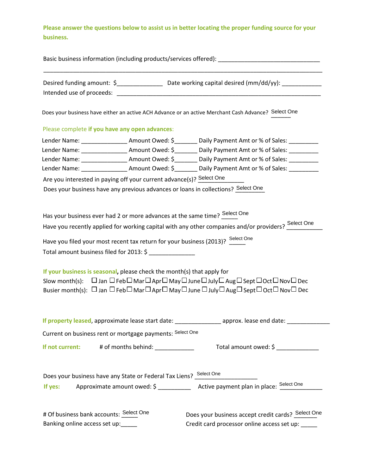**Please answer the questions below to assist us in better locating the proper funding source for your business.**

| Basic business information (including products/services offered): |                                                                                                                                                                                                                                                                                                                 |                                                                                                                                                                                                                                                                                                                                                                                                                         |  |  |  |  |  |  |
|-------------------------------------------------------------------|-----------------------------------------------------------------------------------------------------------------------------------------------------------------------------------------------------------------------------------------------------------------------------------------------------------------|-------------------------------------------------------------------------------------------------------------------------------------------------------------------------------------------------------------------------------------------------------------------------------------------------------------------------------------------------------------------------------------------------------------------------|--|--|--|--|--|--|
|                                                                   |                                                                                                                                                                                                                                                                                                                 | Desired funding amount: \$_____________________ Date working capital desired (mm/dd/yy): ___________                                                                                                                                                                                                                                                                                                                    |  |  |  |  |  |  |
|                                                                   |                                                                                                                                                                                                                                                                                                                 | Does your business have either an active ACH Advance or an active Merchant Cash Advance? Select One                                                                                                                                                                                                                                                                                                                     |  |  |  |  |  |  |
|                                                                   | Please complete if you have any open advances:                                                                                                                                                                                                                                                                  |                                                                                                                                                                                                                                                                                                                                                                                                                         |  |  |  |  |  |  |
|                                                                   |                                                                                                                                                                                                                                                                                                                 | Lender Name: ___________________Amount Owed: \$_________ Daily Payment Amt or % of Sales: __________                                                                                                                                                                                                                                                                                                                    |  |  |  |  |  |  |
|                                                                   |                                                                                                                                                                                                                                                                                                                 | Lender Name: ____________________Amount Owed: \$_________ Daily Payment Amt or % of Sales: _________                                                                                                                                                                                                                                                                                                                    |  |  |  |  |  |  |
|                                                                   |                                                                                                                                                                                                                                                                                                                 | Lender Name: ____________________Amount Owed: \$_________ Daily Payment Amt or % of Sales: _________                                                                                                                                                                                                                                                                                                                    |  |  |  |  |  |  |
|                                                                   |                                                                                                                                                                                                                                                                                                                 | Lender Name: ____________________Amount Owed: \$__________Daily Payment Amt or % of Sales: __________                                                                                                                                                                                                                                                                                                                   |  |  |  |  |  |  |
|                                                                   | Are you interested in paying off your current advance(s)? Select One                                                                                                                                                                                                                                            |                                                                                                                                                                                                                                                                                                                                                                                                                         |  |  |  |  |  |  |
|                                                                   |                                                                                                                                                                                                                                                                                                                 | Does your business have any previous advances or loans in collections? Select One                                                                                                                                                                                                                                                                                                                                       |  |  |  |  |  |  |
|                                                                   | Has your business ever had 2 or more advances at the same time? $\frac{\text{Select One}}{\text{max}}$<br>Have you filed your most recent tax return for your business (2013)? Select One<br>Total amount business filed for 2013: \$<br>If your business is seasonal, please check the month(s) that apply for | Have you recently applied for working capital with any other companies and/or providers? Select One<br>Slow month(s): $\Box$ Jan $\Box$ Feb $\Box$ Mar $\Box$ Apr $\Box$ May $\Box$ June $\Box$ July $\Box$ Aug $\Box$ Sept $\Box$ Oct $\Box$ Nov $\Box$ Dec<br>Busier month(s): $\Box$ Jan $\Box$ Feb $\Box$ Mar $\Box$ Apr $\Box$ May $\Box$ June $\Box$ July $\Box$ Aug $\Box$ Sept $\Box$ Oct $\Box$ Nov $\Box$ Dec |  |  |  |  |  |  |
|                                                                   |                                                                                                                                                                                                                                                                                                                 | If property leased, approximate lease start date: __________________ approx. lease end date: ________________                                                                                                                                                                                                                                                                                                           |  |  |  |  |  |  |
|                                                                   | Current on business rent or mortgage payments: Select One                                                                                                                                                                                                                                                       |                                                                                                                                                                                                                                                                                                                                                                                                                         |  |  |  |  |  |  |
|                                                                   | If not current: # of months behind:                                                                                                                                                                                                                                                                             | Total amount owed: \$                                                                                                                                                                                                                                                                                                                                                                                                   |  |  |  |  |  |  |
|                                                                   | Does your business have any State or Federal Tax Liens? Select One                                                                                                                                                                                                                                              |                                                                                                                                                                                                                                                                                                                                                                                                                         |  |  |  |  |  |  |
|                                                                   |                                                                                                                                                                                                                                                                                                                 | If yes: Approximate amount owed: \$ ___________ Active payment plan in place: $\frac{\text{Select One}}{\text{if } }$                                                                                                                                                                                                                                                                                                   |  |  |  |  |  |  |
| # Of business bank accounts: Select One                           |                                                                                                                                                                                                                                                                                                                 | Does your business accept credit cards? Select One                                                                                                                                                                                                                                                                                                                                                                      |  |  |  |  |  |  |
|                                                                   | Banking online access set up:_____                                                                                                                                                                                                                                                                              | Credit card processor online access set up: _                                                                                                                                                                                                                                                                                                                                                                           |  |  |  |  |  |  |